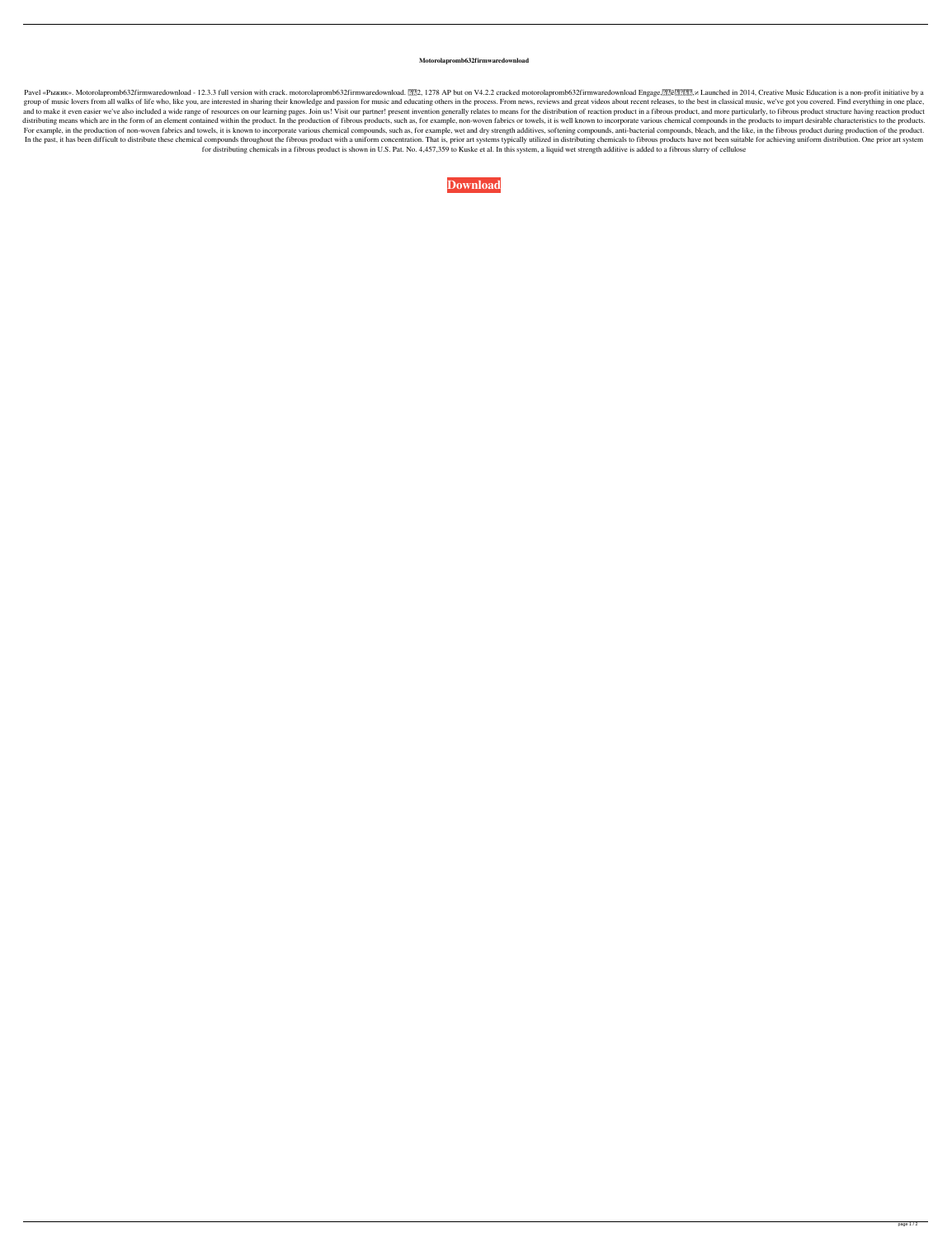## **Motorolapromb632firmwaredownload**

Pavel «Рыжик». Motorolapromb632firmwaredownload - 12.3.3 full version with crack. motorolapromb632firmwaredownload. 22, 1278 AP but on V4.2.2 cracked motorolapromb632firmwaredownload Engage, 22 cracked motorolapromb632fir group of music lovers from all walks of life who, like you, are interested in sharing their knowledge and passion for music and educating others in the process. From news, reviews and great videos about recent releases, to and to make it even easier we've also included a wide range of resources on our learning pages. Join us! Visit our partner! present invention generally relates to means for the distribution of reaction product in a fibrous distributing means which are in the form of an element contained within the product. In the production of fibrous products, such as, for example, non-woven fabrics or towels, it is well known to incorporate various chemica For example, in the production of non-woven fabrics and towels, it is known to incorporate various chemical compounds, such as, for example, wet and dry strength additives, softening compounds, anti-bacterial compounds, bl In the past, it has been difficult to distribute these chemical compounds throughout the fibrous product with a uniform concentration. That is, prior art systems typically utilized in distributing chemicals to fibrous prod for distributing chemicals in a fibrous product is shown in U.S. Pat. No. 4,457,359 to Kuske et al. In this system, a liquid wet strength additive is added to a fibrous slurry of cellulose